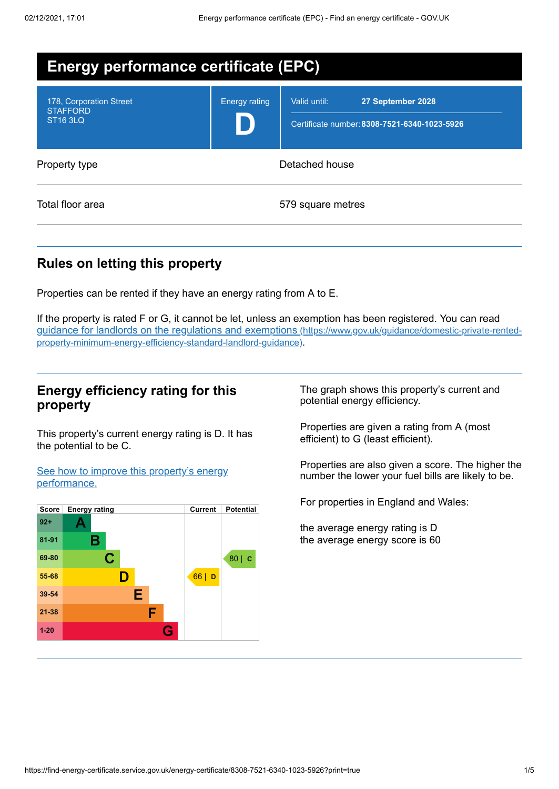| <b>Energy performance certificate (EPC)</b>                   |                      |                                                                                   |
|---------------------------------------------------------------|----------------------|-----------------------------------------------------------------------------------|
| 178, Corporation Street<br><b>STAFFORD</b><br><b>ST16 3LQ</b> | <b>Energy rating</b> | Valid until:<br>27 September 2028<br>Certificate number: 8308-7521-6340-1023-5926 |
| Property type                                                 | Detached house       |                                                                                   |
| Total floor area                                              |                      | 579 square metres                                                                 |

## **Rules on letting this property**

Properties can be rented if they have an energy rating from A to E.

If the property is rated F or G, it cannot be let, unless an exemption has been registered. You can read guidance for landlords on the regulations and exemptions (https://www.gov.uk/guidance/domestic-private-rented[property-minimum-energy-efficiency-standard-landlord-guidance\)](https://www.gov.uk/guidance/domestic-private-rented-property-minimum-energy-efficiency-standard-landlord-guidance).

### **Energy efficiency rating for this property**

This property's current energy rating is D. It has the potential to be C.

See how to improve this property's energy [performance.](#page-2-0)



The graph shows this property's current and potential energy efficiency.

Properties are given a rating from A (most efficient) to G (least efficient).

Properties are also given a score. The higher the number the lower your fuel bills are likely to be.

For properties in England and Wales:

the average energy rating is D the average energy score is 60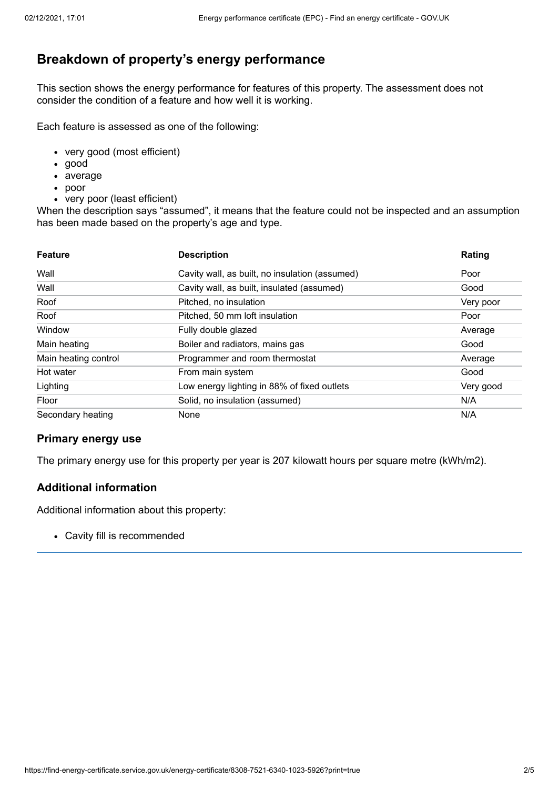# **Breakdown of property's energy performance**

This section shows the energy performance for features of this property. The assessment does not consider the condition of a feature and how well it is working.

Each feature is assessed as one of the following:

- very good (most efficient)
- good
- average
- poor
- very poor (least efficient)

When the description says "assumed", it means that the feature could not be inspected and an assumption has been made based on the property's age and type.

| <b>Feature</b>       | <b>Description</b>                             | Rating    |
|----------------------|------------------------------------------------|-----------|
| Wall                 | Cavity wall, as built, no insulation (assumed) | Poor      |
| Wall                 | Cavity wall, as built, insulated (assumed)     | Good      |
| Roof                 | Pitched, no insulation                         | Very poor |
| Roof                 | Pitched, 50 mm loft insulation                 | Poor      |
| Window               | Fully double glazed                            | Average   |
| Main heating         | Boiler and radiators, mains gas                | Good      |
| Main heating control | Programmer and room thermostat                 | Average   |
| Hot water            | From main system                               | Good      |
| Lighting             | Low energy lighting in 88% of fixed outlets    | Very good |
| Floor                | Solid, no insulation (assumed)                 | N/A       |
| Secondary heating    | None                                           | N/A       |

#### **Primary energy use**

The primary energy use for this property per year is 207 kilowatt hours per square metre (kWh/m2).

#### **Additional information**

Additional information about this property:

Cavity fill is recommended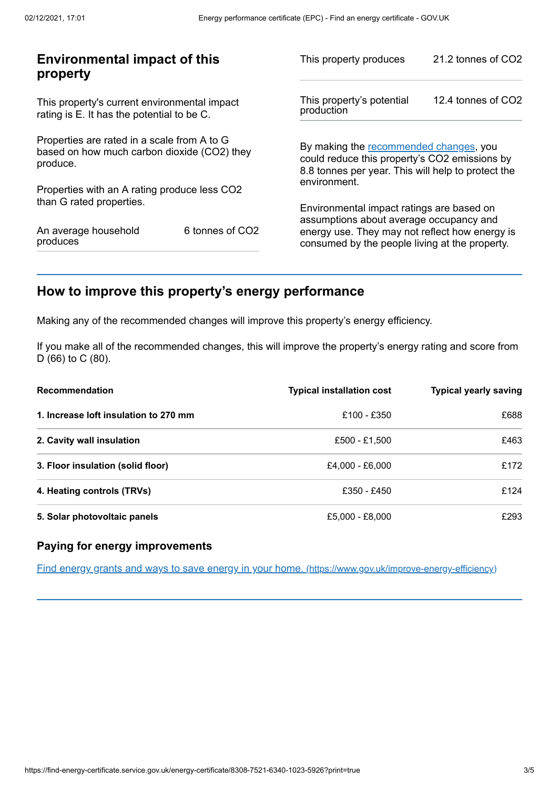| <b>Environmental impact of this</b><br>property                                                        |                 | This property produces                                                                                                                        | 21.2 tonnes of CO2 |
|--------------------------------------------------------------------------------------------------------|-----------------|-----------------------------------------------------------------------------------------------------------------------------------------------|--------------------|
| This property's current environmental impact<br>rating is E. It has the potential to be C.             |                 | This property's potential<br>production                                                                                                       | 12.4 tonnes of CO2 |
| Properties are rated in a scale from A to G<br>based on how much carbon dioxide (CO2) they<br>produce. |                 | By making the recommended changes, you<br>could reduce this property's CO2 emissions by<br>8.8 tonnes per year. This will help to protect the |                    |
| Properties with an A rating produce less CO2                                                           |                 | environment.                                                                                                                                  |                    |
| than G rated properties.                                                                               |                 | Environmental impact ratings are based on<br>assumptions about average occupancy and                                                          |                    |
| An average household<br>produces                                                                       | 6 tonnes of CO2 | energy use. They may not reflect how energy is<br>consumed by the people living at the property.                                              |                    |
|                                                                                                        |                 |                                                                                                                                               |                    |

# <span id="page-2-0"></span>**How to improve this property's energy performance**

Making any of the recommended changes will improve this property's energy efficiency.

If you make all of the recommended changes, this will improve the property's energy rating and score from D (66) to C (80).

| <b>Recommendation</b>                 | <b>Typical installation cost</b> | <b>Typical yearly saving</b> |
|---------------------------------------|----------------------------------|------------------------------|
| 1. Increase loft insulation to 270 mm | £100 - £350                      | £688                         |
| 2. Cavity wall insulation             | £500 - £1.500                    | £463                         |
| 3. Floor insulation (solid floor)     | £4.000 - £6.000                  | £172                         |
| 4. Heating controls (TRVs)            | £350 - £450                      | £124                         |
| 5. Solar photovoltaic panels          | £5,000 - £8,000                  | £293                         |

#### **Paying for energy improvements**

Find energy grants and ways to save energy in your home. [\(https://www.gov.uk/improve-energy-efficiency\)](https://www.gov.uk/improve-energy-efficiency)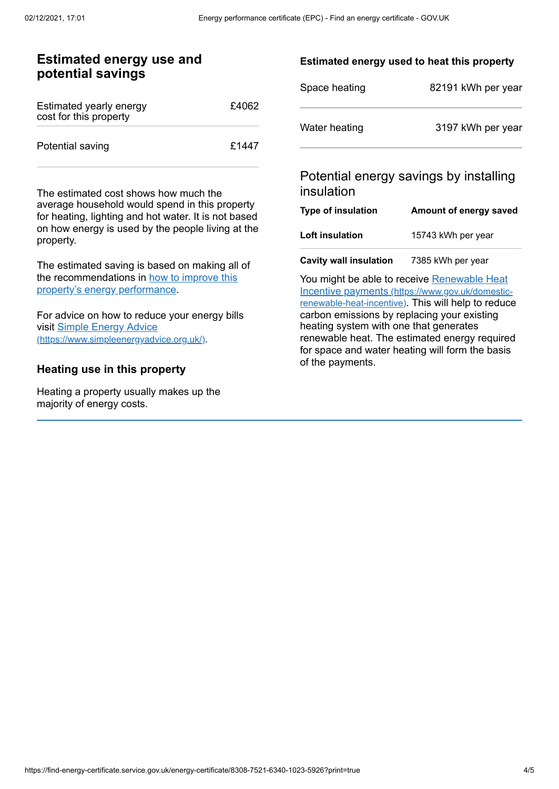### **Estimated energy use and potential savings**

| Estimated yearly energy<br>cost for this property | £4062 |
|---------------------------------------------------|-------|
| Potential saving                                  | £1447 |

The estimated cost shows how much the average household would spend in this property for heating, lighting and hot water. It is not based on how energy is used by the people living at the property.

The estimated saving is based on making all of the [recommendations](#page-2-0) in how to improve this property's energy performance.

For advice on how to reduce your energy bills visit Simple Energy Advice [\(https://www.simpleenergyadvice.org.uk/\)](https://www.simpleenergyadvice.org.uk/).

#### **Heating use in this property**

Heating a property usually makes up the majority of energy costs.

#### **Estimated energy used to heat this property**

| Space heating | 82191 kWh per year |
|---------------|--------------------|
| Water heating | 3197 kWh per year  |

### Potential energy savings by installing insulation

| <b>Type of insulation</b> | Amount of energy saved |
|---------------------------|------------------------|
| Loft insulation           | 15743 kWh per year     |
|                           |                        |

**Cavity wall insulation** 7385 kWh per year

You might be able to receive Renewable Heat Incentive payments [\(https://www.gov.uk/domestic](https://www.gov.uk/domestic-renewable-heat-incentive)renewable-heat-incentive). This will help to reduce carbon emissions by replacing your existing heating system with one that generates renewable heat. The estimated energy required for space and water heating will form the basis of the payments.